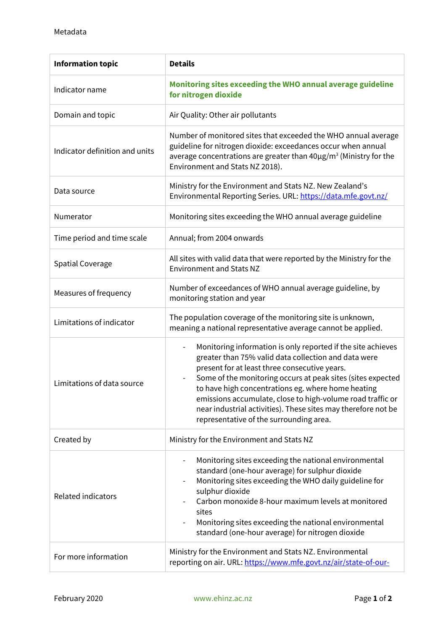| <b>Information topic</b>       | <b>Details</b>                                                                                                                                                                                                                                                                                                                                                                                                                                                                                   |
|--------------------------------|--------------------------------------------------------------------------------------------------------------------------------------------------------------------------------------------------------------------------------------------------------------------------------------------------------------------------------------------------------------------------------------------------------------------------------------------------------------------------------------------------|
| Indicator name                 | Monitoring sites exceeding the WHO annual average guideline<br>for nitrogen dioxide                                                                                                                                                                                                                                                                                                                                                                                                              |
| Domain and topic               | Air Quality: Other air pollutants                                                                                                                                                                                                                                                                                                                                                                                                                                                                |
| Indicator definition and units | Number of monitored sites that exceeded the WHO annual average<br>guideline for nitrogen dioxide: exceedances occur when annual<br>average concentrations are greater than 40µg/m <sup>3</sup> (Ministry for the<br>Environment and Stats NZ 2018).                                                                                                                                                                                                                                              |
| Data source                    | Ministry for the Environment and Stats NZ. New Zealand's<br>Environmental Reporting Series. URL: https://data.mfe.govt.nz/                                                                                                                                                                                                                                                                                                                                                                       |
| Numerator                      | Monitoring sites exceeding the WHO annual average guideline                                                                                                                                                                                                                                                                                                                                                                                                                                      |
| Time period and time scale     | Annual; from 2004 onwards                                                                                                                                                                                                                                                                                                                                                                                                                                                                        |
| <b>Spatial Coverage</b>        | All sites with valid data that were reported by the Ministry for the<br><b>Environment and Stats NZ</b>                                                                                                                                                                                                                                                                                                                                                                                          |
| Measures of frequency          | Number of exceedances of WHO annual average guideline, by<br>monitoring station and year                                                                                                                                                                                                                                                                                                                                                                                                         |
| Limitations of indicator       | The population coverage of the monitoring site is unknown,<br>meaning a national representative average cannot be applied.                                                                                                                                                                                                                                                                                                                                                                       |
| Limitations of data source     | Monitoring information is only reported if the site achieves<br>$\overline{\phantom{0}}$<br>greater than 75% valid data collection and data were<br>present for at least three consecutive years.<br>Some of the monitoring occurs at peak sites (sites expected<br>to have high concentrations eg. where home heating<br>emissions accumulate, close to high-volume road traffic or<br>near industrial activities). These sites may therefore not be<br>representative of the surrounding area. |
| Created by                     | Ministry for the Environment and Stats NZ                                                                                                                                                                                                                                                                                                                                                                                                                                                        |
| <b>Related indicators</b>      | Monitoring sites exceeding the national environmental<br>$\overline{\phantom{0}}$<br>standard (one-hour average) for sulphur dioxide<br>Monitoring sites exceeding the WHO daily guideline for<br>-<br>sulphur dioxide<br>Carbon monoxide 8-hour maximum levels at monitored<br>sites<br>Monitoring sites exceeding the national environmental<br>$\overline{\phantom{0}}$<br>standard (one-hour average) for nitrogen dioxide                                                                   |
| For more information           | Ministry for the Environment and Stats NZ. Environmental<br>reporting on air. URL: https://www.mfe.govt.nz/air/state-of-our-                                                                                                                                                                                                                                                                                                                                                                     |